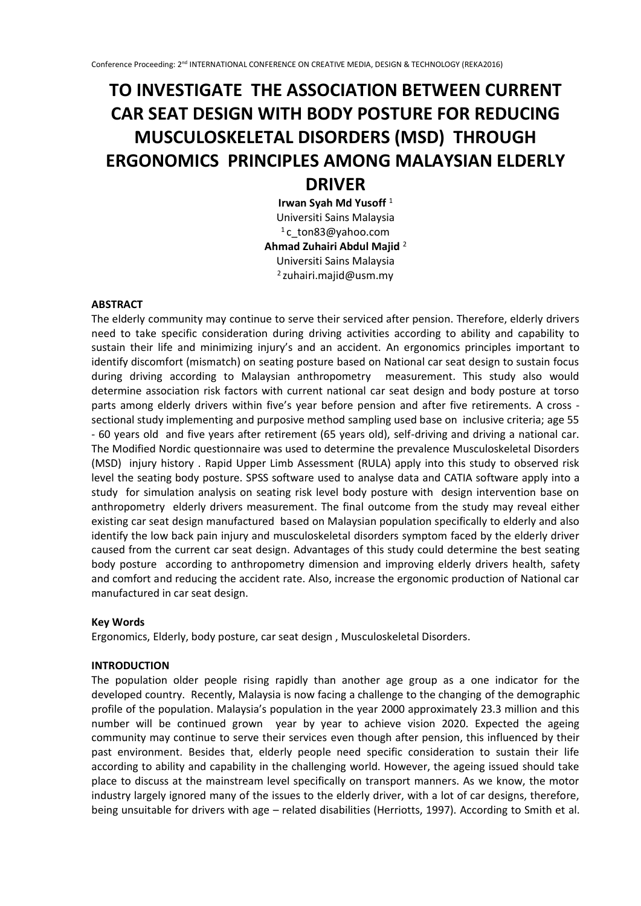# **TO INVESTIGATE THE ASSOCIATION BETWEEN CURRENT CAR SEAT DESIGN WITH BODY POSTURE FOR REDUCING MUSCULOSKELETAL DISORDERS (MSD) THROUGH ERGONOMICS PRINCIPLES AMONG MALAYSIAN ELDERLY DRIVER**

**Irwan Syah Md Yusoff** <sup>1</sup> Universiti Sains Malaysia <sup>1</sup>c\_ton83@yahoo.com **Ahmad Zuhairi Abdul Majid** <sup>2</sup> Universiti Sains Malaysia  $2$ zuhairi.majid@usm.my

## **ABSTRACT**

The elderly community may continue to serve their serviced after pension. Therefore, elderly drivers need to take specific consideration during driving activities according to ability and capability to sustain their life and minimizing injury's and an accident. An ergonomics principles important to identify discomfort (mismatch) on seating posture based on National car seat design to sustain focus during driving according to Malaysian anthropometry measurement. This study also would determine association risk factors with current national car seat design and body posture at torso parts among elderly drivers within five's year before pension and after five retirements. A cross sectional study implementing and purposive method sampling used base on inclusive criteria; age 55 - 60 years old and five years after retirement (65 years old), self-driving and driving a national car. The Modified Nordic questionnaire was used to determine the prevalence Musculoskeletal Disorders (MSD) injury history . Rapid Upper Limb Assessment (RULA) apply into this study to observed risk level the seating body posture. SPSS software used to analyse data and CATIA software apply into a study for simulation analysis on seating risk level body posture with design intervention base on anthropometry elderly drivers measurement. The final outcome from the study may reveal either existing car seat design manufactured based on Malaysian population specifically to elderly and also identify the low back pain injury and musculoskeletal disorders symptom faced by the elderly driver caused from the current car seat design. Advantages of this study could determine the best seating body posture according to anthropometry dimension and improving elderly drivers health, safety and comfort and reducing the accident rate. Also, increase the ergonomic production of National car manufactured in car seat design.

#### **Key Words**

Ergonomics, Elderly, body posture, car seat design , Musculoskeletal Disorders.

## **INTRODUCTION**

The population older people rising rapidly than another age group as a one indicator for the developed country. Recently, Malaysia is now facing a challenge to the changing of the demographic profile of the population. Malaysia's population in the year 2000 approximately 23.3 million and this number will be continued grown year by year to achieve vision 2020. Expected the ageing community may continue to serve their services even though after pension, this influenced by their past environment. Besides that, elderly people need specific consideration to sustain their life according to ability and capability in the challenging world. However, the ageing issued should take place to discuss at the mainstream level specifically on transport manners. As we know, the motor industry largely ignored many of the issues to the elderly driver, with a lot of car designs, therefore, being unsuitable for drivers with age – related disabilities (Herriotts, 1997). According to Smith et al.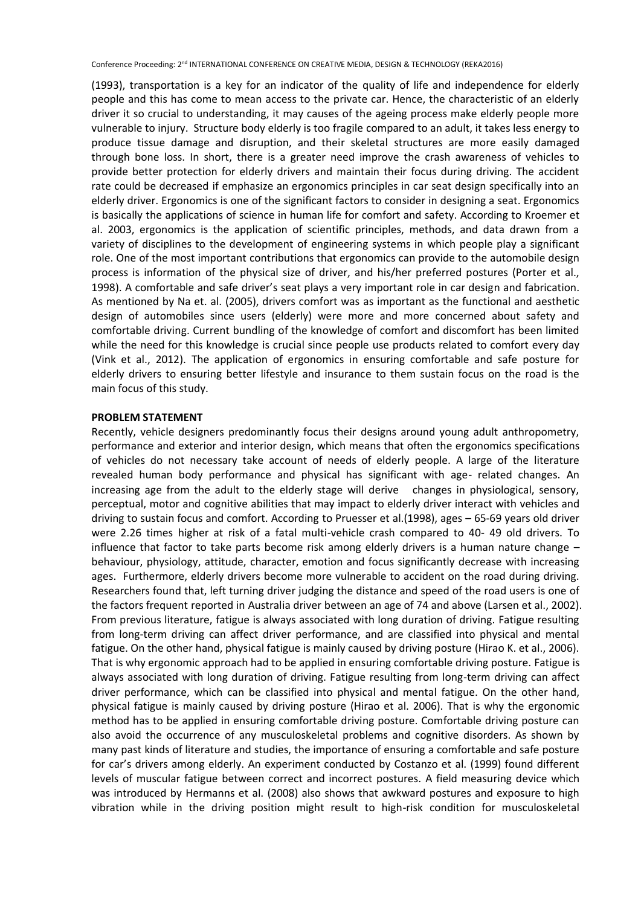(1993), transportation is a key for an indicator of the quality of life and independence for elderly people and this has come to mean access to the private car. Hence, the characteristic of an elderly driver it so crucial to understanding, it may causes of the ageing process make elderly people more vulnerable to injury. Structure body elderly is too fragile compared to an adult, it takes less energy to produce tissue damage and disruption, and their skeletal structures are more easily damaged through bone loss. In short, there is a greater need improve the crash awareness of vehicles to provide better protection for elderly drivers and maintain their focus during driving. The accident rate could be decreased if emphasize an ergonomics principles in car seat design specifically into an elderly driver. Ergonomics is one of the significant factors to consider in designing a seat. Ergonomics is basically the applications of science in human life for comfort and safety. According to Kroemer et al. 2003, ergonomics is the application of scientific principles, methods, and data drawn from a variety of disciplines to the development of engineering systems in which people play a significant role. One of the most important contributions that ergonomics can provide to the automobile design process is information of the physical size of driver, and his/her preferred postures (Porter et al., 1998). A comfortable and safe driver's seat plays a very important role in car design and fabrication. As mentioned by Na et. al. (2005), drivers comfort was as important as the functional and aesthetic design of automobiles since users (elderly) were more and more concerned about safety and comfortable driving. Current bundling of the knowledge of comfort and discomfort has been limited while the need for this knowledge is crucial since people use products related to comfort every day (Vink et al., 2012). The application of ergonomics in ensuring comfortable and safe posture for elderly drivers to ensuring better lifestyle and insurance to them sustain focus on the road is the main focus of this study.

## **PROBLEM STATEMENT**

Recently, vehicle designers predominantly focus their designs around young adult anthropometry, performance and exterior and interior design, which means that often the ergonomics specifications of vehicles do not necessary take account of needs of elderly people. A large of the literature revealed human body performance and physical has significant with age- related changes. An increasing age from the adult to the elderly stage will derive changes in physiological, sensory, perceptual, motor and cognitive abilities that may impact to elderly driver interact with vehicles and driving to sustain focus and comfort. According to Pruesser et al.(1998), ages – 65-69 years old driver were 2.26 times higher at risk of a fatal multi-vehicle crash compared to 40- 49 old drivers. To influence that factor to take parts become risk among elderly drivers is a human nature change – behaviour, physiology, attitude, character, emotion and focus significantly decrease with increasing ages. Furthermore, elderly drivers become more vulnerable to accident on the road during driving. Researchers found that, left turning driver judging the distance and speed of the road users is one of the factors frequent reported in Australia driver between an age of 74 and above (Larsen et al., 2002). From previous literature, fatigue is always associated with long duration of driving. Fatigue resulting from long-term driving can affect driver performance, and are classified into physical and mental fatigue. On the other hand, physical fatigue is mainly caused by driving posture (Hirao K. et al., 2006). That is why ergonomic approach had to be applied in ensuring comfortable driving posture. Fatigue is always associated with long duration of driving. Fatigue resulting from long-term driving can affect driver performance, which can be classified into physical and mental fatigue. On the other hand, physical fatigue is mainly caused by driving posture (Hirao et al. 2006). That is why the ergonomic method has to be applied in ensuring comfortable driving posture. Comfortable driving posture can also avoid the occurrence of any musculoskeletal problems and cognitive disorders. As shown by many past kinds of literature and studies, the importance of ensuring a comfortable and safe posture for car's drivers among elderly. An experiment conducted by Costanzo et al. (1999) found different levels of muscular fatigue between correct and incorrect postures. A field measuring device which was introduced by Hermanns et al. (2008) also shows that awkward postures and exposure to high vibration while in the driving position might result to high-risk condition for musculoskeletal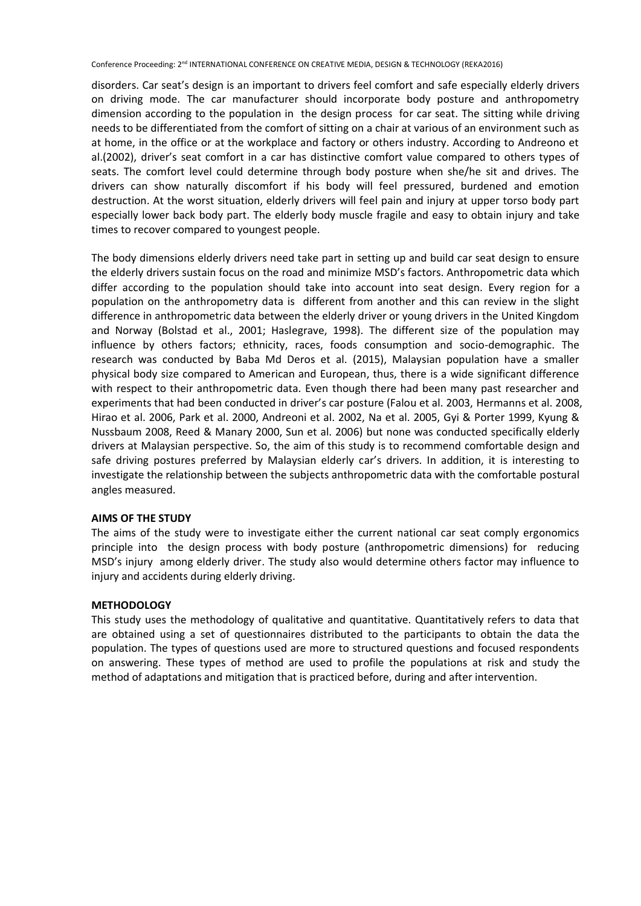disorders. Car seat's design is an important to drivers feel comfort and safe especially elderly drivers on driving mode. The car manufacturer should incorporate body posture and anthropometry dimension according to the population in the design process for car seat. The sitting while driving needs to be differentiated from the comfort of sitting on a chair at various of an environment such as at home, in the office or at the workplace and factory or others industry. According to Andreono et al.(2002), driver's seat comfort in a car has distinctive comfort value compared to others types of seats. The comfort level could determine through body posture when she/he sit and drives. The drivers can show naturally discomfort if his body will feel pressured, burdened and emotion destruction. At the worst situation, elderly drivers will feel pain and injury at upper torso body part especially lower back body part. The elderly body muscle fragile and easy to obtain injury and take times to recover compared to youngest people.

The body dimensions elderly drivers need take part in setting up and build car seat design to ensure the elderly drivers sustain focus on the road and minimize MSD's factors. Anthropometric data which differ according to the population should take into account into seat design. Every region for a population on the anthropometry data is different from another and this can review in the slight difference in anthropometric data between the elderly driver or young drivers in the United Kingdom and Norway (Bolstad et al., 2001; Haslegrave, 1998). The different size of the population may influence by others factors; ethnicity, races, foods consumption and socio-demographic. The research was conducted by Baba Md Deros et al. (2015), Malaysian population have a smaller physical body size compared to American and European, thus, there is a wide significant difference with respect to their anthropometric data. Even though there had been many past researcher and experiments that had been conducted in driver's car posture (Falou et al. 2003, Hermanns et al. 2008, Hirao et al. 2006, Park et al. 2000, Andreoni et al. 2002, Na et al. 2005, Gyi & Porter 1999, Kyung & Nussbaum 2008, Reed & Manary 2000, Sun et al. 2006) but none was conducted specifically elderly drivers at Malaysian perspective. So, the aim of this study is to recommend comfortable design and safe driving postures preferred by Malaysian elderly car's drivers. In addition, it is interesting to investigate the relationship between the subjects anthropometric data with the comfortable postural angles measured.

## **AIMS OF THE STUDY**

The aims of the study were to investigate either the current national car seat comply ergonomics principle into the design process with body posture (anthropometric dimensions) for reducing MSD's injury among elderly driver. The study also would determine others factor may influence to injury and accidents during elderly driving.

#### **METHODOLOGY**

This study uses the methodology of qualitative and quantitative. Quantitatively refers to data that are obtained using a set of questionnaires distributed to the participants to obtain the data the population. The types of questions used are more to structured questions and focused respondents on answering. These types of method are used to profile the populations at risk and study the method of adaptations and mitigation that is practiced before, during and after intervention.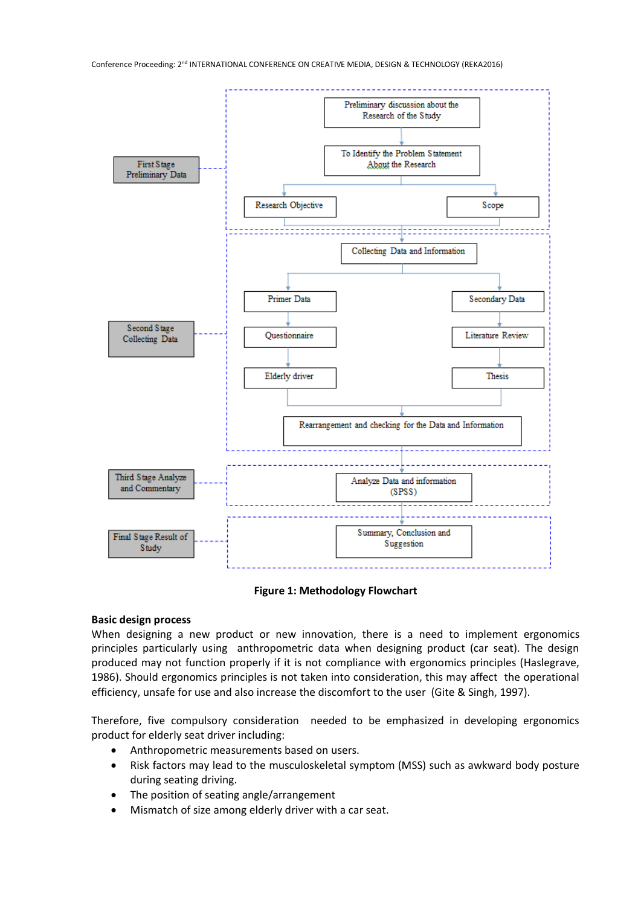

#### **Figure 1: Methodology Flowchart**

#### **Basic design process**

When designing a new product or new innovation, there is a need to implement ergonomics principles particularly using anthropometric data when designing product (car seat). The design produced may not function properly if it is not compliance with ergonomics principles (Haslegrave, 1986). Should ergonomics principles is not taken into consideration, this may affect the operational efficiency, unsafe for use and also increase the discomfort to the user (Gite & Singh, 1997).

Therefore, five compulsory consideration needed to be emphasized in developing ergonomics product for elderly seat driver including:

- Anthropometric measurements based on users.
- Risk factors may lead to the musculoskeletal symptom (MSS) such as awkward body posture during seating driving.
- The position of seating angle/arrangement
- Mismatch of size among elderly driver with a car seat.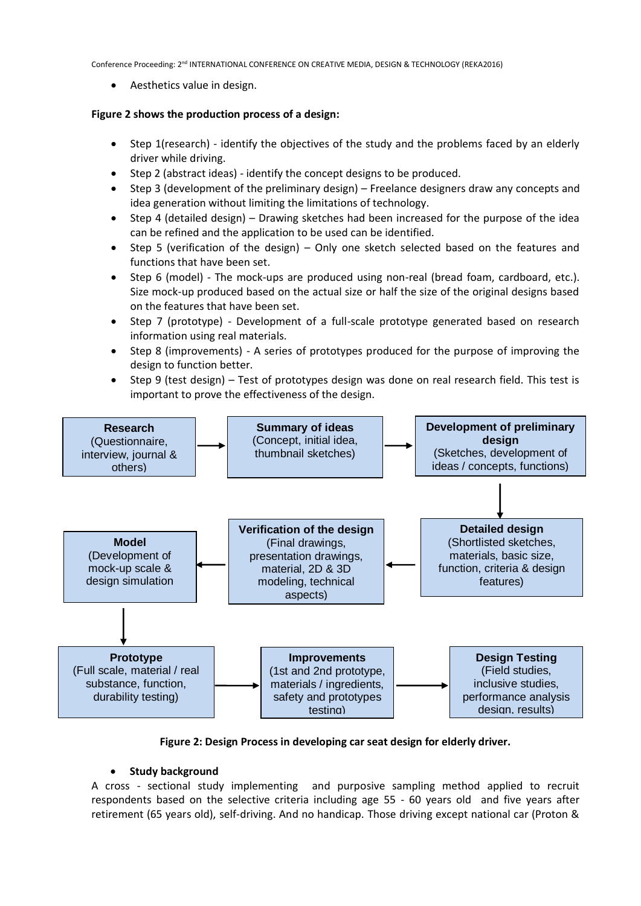• Aesthetics value in design.

## **Figure 2 shows the production process of a design:**

- Step 1(research) identify the objectives of the study and the problems faced by an elderly driver while driving.
- Step 2 (abstract ideas) identify the concept designs to be produced.
- Step 3 (development of the preliminary design) Freelance designers draw any concepts and idea generation without limiting the limitations of technology.
- Step 4 (detailed design) Drawing sketches had been increased for the purpose of the idea can be refined and the application to be used can be identified.
- Step 5 (verification of the design) Only one sketch selected based on the features and functions that have been set.
- Step 6 (model) The mock-ups are produced using non-real (bread foam, cardboard, etc.). Size mock-up produced based on the actual size or half the size of the original designs based on the features that have been set.
- Step 7 (prototype) Development of a full-scale prototype generated based on research information using real materials.
- Step 8 (improvements) A series of prototypes produced for the purpose of improving the design to function better.
- Step 9 (test design) Test of prototypes design was done on real research field. This test is important to prove the effectiveness of the design.



**Figure 2: Design Process in developing car seat design for elderly driver.**

## • **Study background**

A cross - sectional study implementing and purposive sampling method applied to recruit respondents based on the selective criteria including age 55 - 60 years old and five years after retirement (65 years old), self-driving. And no handicap. Those driving except national car (Proton &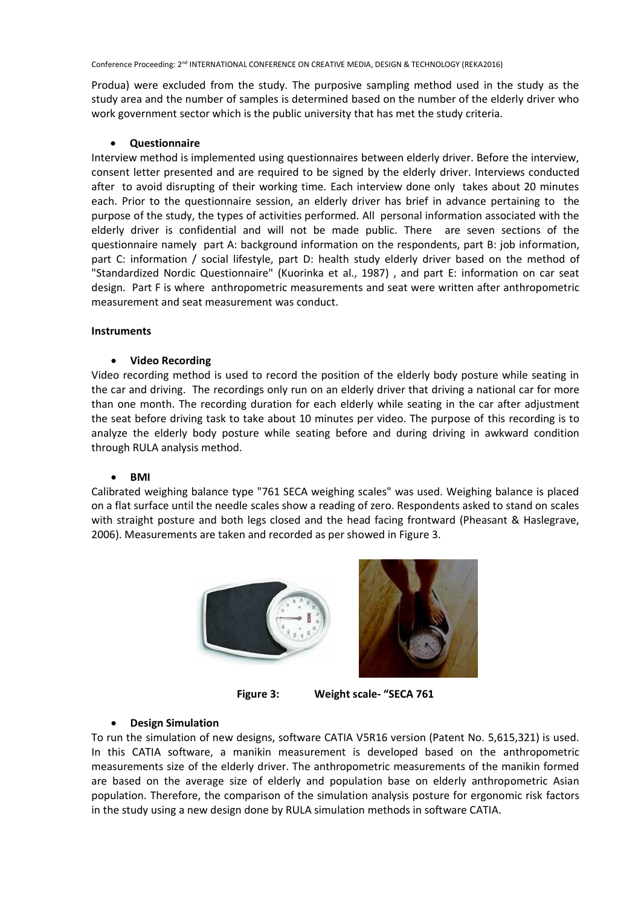Produa) were excluded from the study. The purposive sampling method used in the study as the study area and the number of samples is determined based on the number of the elderly driver who work government sector which is the public university that has met the study criteria.

## • **Questionnaire**

Interview method is implemented using questionnaires between elderly driver. Before the interview, consent letter presented and are required to be signed by the elderly driver. Interviews conducted after to avoid disrupting of their working time. Each interview done only takes about 20 minutes each. Prior to the questionnaire session, an elderly driver has brief in advance pertaining to the purpose of the study, the types of activities performed. All personal information associated with the elderly driver is confidential and will not be made public. There are seven sections of the questionnaire namely part A: background information on the respondents, part B: job information, part C: information / social lifestyle, part D: health study elderly driver based on the method of "Standardized Nordic Questionnaire" (Kuorinka et al., 1987) , and part E: information on car seat design. Part F is where anthropometric measurements and seat were written after anthropometric measurement and seat measurement was conduct.

## **Instruments**

## • **Video Recording**

Video recording method is used to record the position of the elderly body posture while seating in the car and driving. The recordings only run on an elderly driver that driving a national car for more than one month. The recording duration for each elderly while seating in the car after adjustment the seat before driving task to take about 10 minutes per video. The purpose of this recording is to analyze the elderly body posture while seating before and during driving in awkward condition through RULA analysis method.

#### • **BMI**

Calibrated weighing balance type "761 SECA weighing scales" was used. Weighing balance is placed on a flat surface until the needle scales show a reading of zero. Respondents asked to stand on scales with straight posture and both legs closed and the head facing frontward (Pheasant & Haslegrave, 2006). Measurements are taken and recorded as per showed in Figure 3.





**Figure 3: Weight scale- "SECA 761**

## • **Design Simulation**

To run the simulation of new designs, software CATIA V5R16 version (Patent No. 5,615,321) is used. In this CATIA software, a manikin measurement is developed based on the anthropometric measurements size of the elderly driver. The anthropometric measurements of the manikin formed are based on the average size of elderly and population base on elderly anthropometric Asian population. Therefore, the comparison of the simulation analysis posture for ergonomic risk factors in the study using a new design done by RULA simulation methods in software CATIA.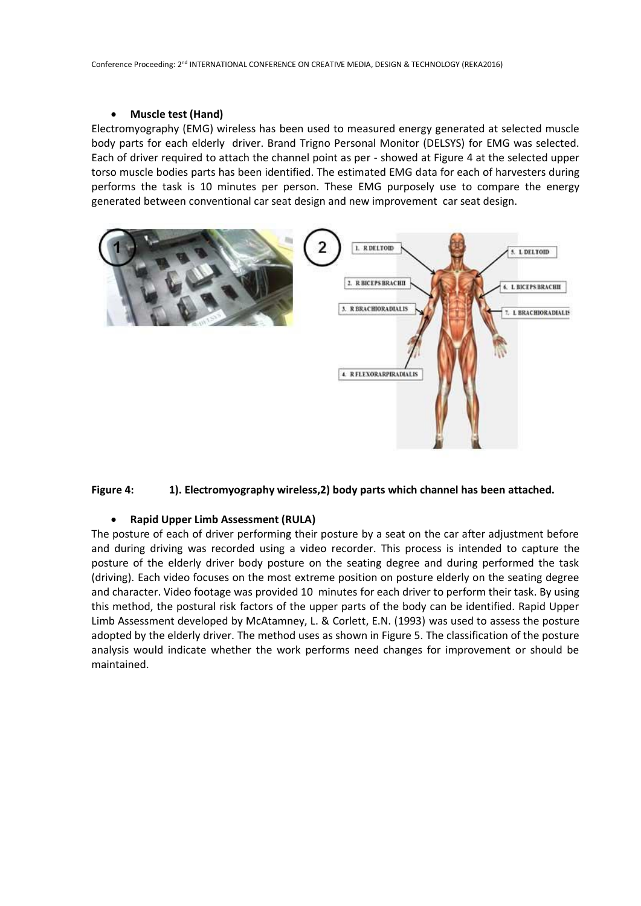## • **Muscle test (Hand)**

Electromyography (EMG) wireless has been used to measured energy generated at selected muscle body parts for each elderly driver. Brand Trigno Personal Monitor (DELSYS) for EMG was selected. Each of driver required to attach the channel point as per - showed at Figure 4 at the selected upper torso muscle bodies parts has been identified. The estimated EMG data for each of harvesters during performs the task is 10 minutes per person. These EMG purposely use to compare the energy generated between conventional car seat design and new improvement car seat design.





#### • **Rapid Upper Limb Assessment (RULA)**

The posture of each of driver performing their posture by a seat on the car after adjustment before and during driving was recorded using a video recorder. This process is intended to capture the posture of the elderly driver body posture on the seating degree and during performed the task (driving). Each video focuses on the most extreme position on posture elderly on the seating degree and character. Video footage was provided 10 minutes for each driver to perform their task. By using this method, the postural risk factors of the upper parts of the body can be identified. Rapid Upper Limb Assessment developed by McAtamney, L. & Corlett, E.N. (1993) was used to assess the posture adopted by the elderly driver. The method uses as shown in Figure 5. The classification of the posture analysis would indicate whether the work performs need changes for improvement or should be maintained.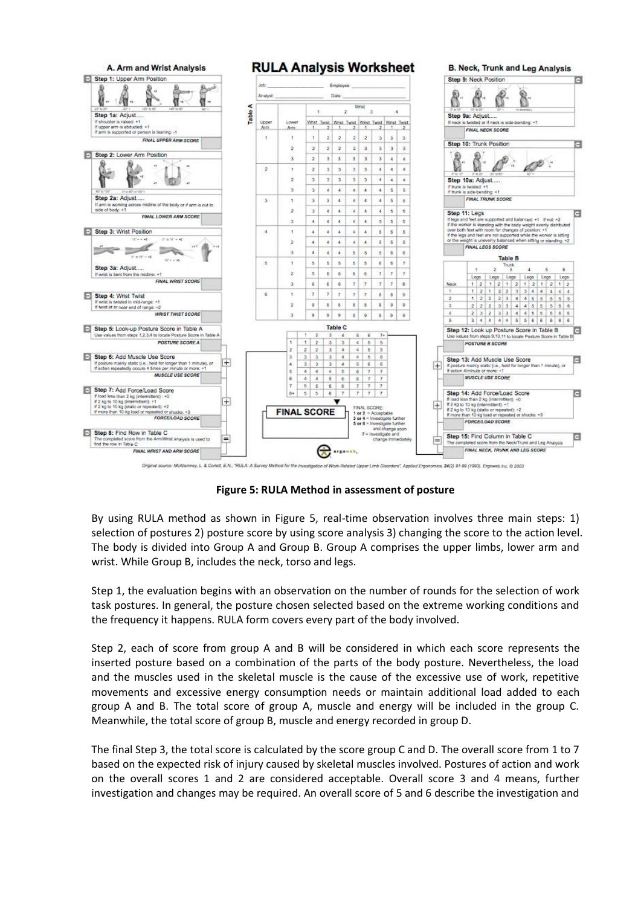

Original source: McAtamney, L. & Corlett, E.N., "RULA: A Survey Method for the investigati Upper Limb Disorders", Applied Engonomics, 24(2) 91-99 (1993). Engowed Inc. C 2003

**Figure 5: RULA Method in assessment of posture**

By using RULA method as shown in Figure 5, real-time observation involves three main steps: 1) selection of postures 2) posture score by using score analysis 3) changing the score to the action level. The body is divided into Group A and Group B. Group A comprises the upper limbs, lower arm and wrist. While Group B, includes the neck, torso and legs.

Step 1, the evaluation begins with an observation on the number of rounds for the selection of work task postures. In general, the posture chosen selected based on the extreme working conditions and the frequency it happens. RULA form covers every part of the body involved.

Step 2, each of score from group A and B will be considered in which each score represents the inserted posture based on a combination of the parts of the body posture. Nevertheless, the load and the muscles used in the skeletal muscle is the cause of the excessive use of work, repetitive movements and excessive energy consumption needs or maintain additional load added to each group A and B. The total score of group A, muscle and energy will be included in the group C. Meanwhile, the total score of group B, muscle and energy recorded in group D.

The final Step 3, the total score is calculated by the score group C and D. The overall score from 1 to 7 based on the expected risk of injury caused by skeletal muscles involved. Postures of action and work on the overall scores 1 and 2 are considered acceptable. Overall score 3 and 4 means, further investigation and changes may be required. An overall score of 5 and 6 describe the investigation and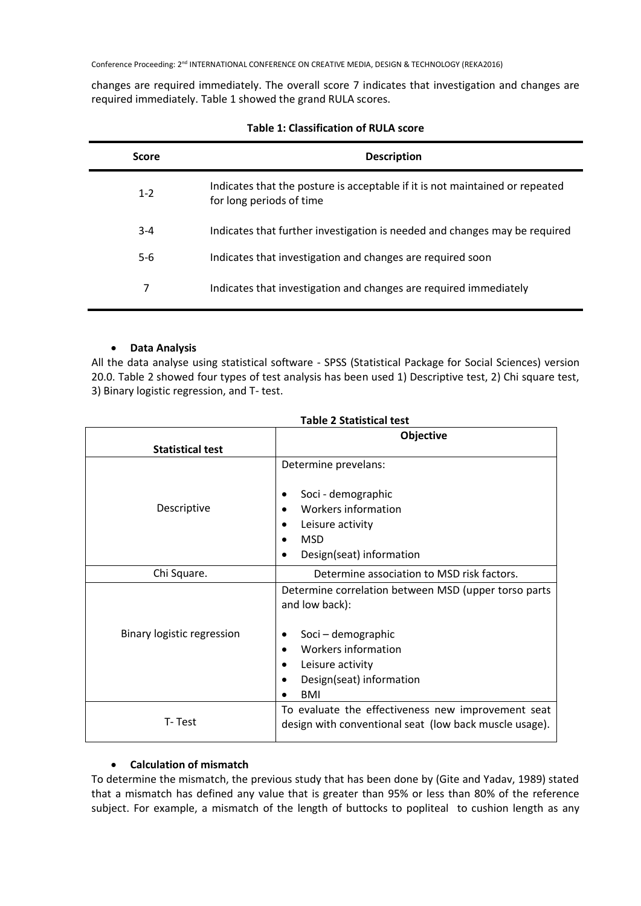changes are required immediately. The overall score 7 indicates that investigation and changes are required immediately. Table 1 showed the grand RULA scores.

| <b>Score</b> | <b>Description</b>                                                                                       |
|--------------|----------------------------------------------------------------------------------------------------------|
| $1 - 2$      | Indicates that the posture is acceptable if it is not maintained or repeated<br>for long periods of time |
| $3 - 4$      | Indicates that further investigation is needed and changes may be required                               |
| $5-6$        | Indicates that investigation and changes are required soon                                               |
| 7            | Indicates that investigation and changes are required immediately                                        |

## **Table 1: Classification of RULA score**

# • **Data Analysis**

All the data analyse using statistical software - SPSS (Statistical Package for Social Sciences) version 20.0. Table 2 showed four types of test analysis has been used 1) Descriptive test, 2) Chi square test, 3) Binary logistic regression, and T- test.

|                            | Objective                                                                                                    |  |
|----------------------------|--------------------------------------------------------------------------------------------------------------|--|
| <b>Statistical test</b>    |                                                                                                              |  |
| Descriptive                | Determine prevelans:<br>Soci - demographic<br>Workers information                                            |  |
|                            | Leisure activity<br><b>MSD</b>                                                                               |  |
|                            | Design(seat) information                                                                                     |  |
| Chi Square.                | Determine association to MSD risk factors.                                                                   |  |
|                            | Determine correlation between MSD (upper torso parts<br>and low back):                                       |  |
| Binary logistic regression | Soci - demographic                                                                                           |  |
|                            | <b>Workers information</b>                                                                                   |  |
|                            | Leisure activity                                                                                             |  |
|                            | Design(seat) information                                                                                     |  |
|                            | <b>BMI</b>                                                                                                   |  |
| T-Test                     | To evaluate the effectiveness new improvement seat<br>design with conventional seat (low back muscle usage). |  |

## **Table 2 Statistical test**

# • **Calculation of mismatch**

To determine the mismatch, the previous study that has been done by (Gite and Yadav, 1989) stated that a mismatch has defined any value that is greater than 95% or less than 80% of the reference subject. For example, a mismatch of the length of buttocks to popliteal to cushion length as any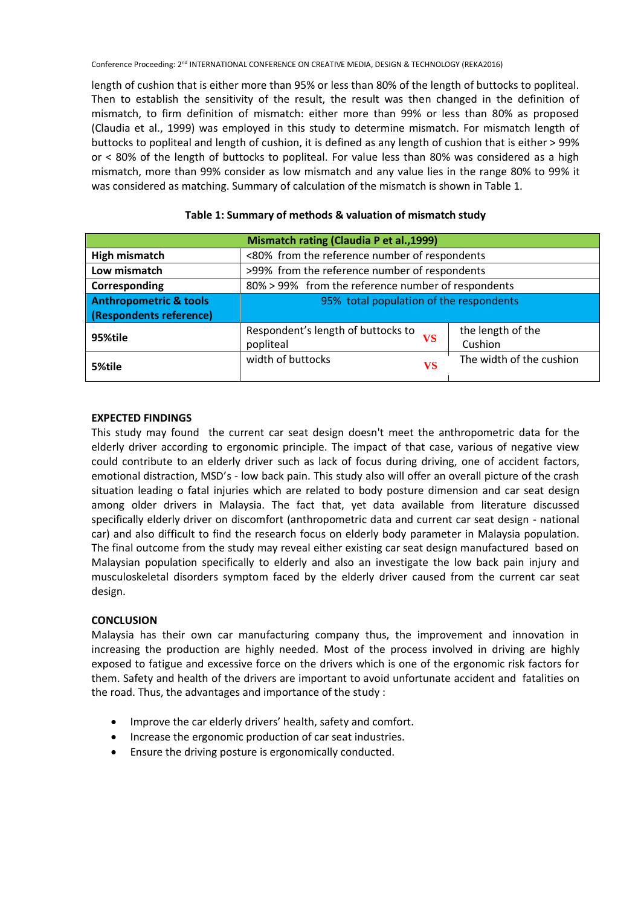length of cushion that is either more than 95% or less than 80% of the length of buttocks to popliteal. Then to establish the sensitivity of the result, the result was then changed in the definition of mismatch, to firm definition of mismatch: either more than 99% or less than 80% as proposed (Claudia et al., 1999) was employed in this study to determine mismatch. For mismatch length of buttocks to popliteal and length of cushion, it is defined as any length of cushion that is either > 99% or < 80% of the length of buttocks to popliteal. For value less than 80% was considered as a high mismatch, more than 99% consider as low mismatch and any value lies in the range 80% to 99% it was considered as matching. Summary of calculation of the mismatch is shown in Table 1.

| Mismatch rating (Claudia P et al., 1999) |                                                    |                          |  |  |
|------------------------------------------|----------------------------------------------------|--------------------------|--|--|
| High mismatch                            | <80% from the reference number of respondents      |                          |  |  |
| Low mismatch                             | >99% from the reference number of respondents      |                          |  |  |
| Corresponding                            | 80% > 99% from the reference number of respondents |                          |  |  |
| <b>Anthropometric &amp; tools</b>        | 95% total population of the respondents            |                          |  |  |
| (Respondents reference)                  |                                                    |                          |  |  |
| 95%tile                                  | Respondent's length of buttocks to<br>VS           | the length of the        |  |  |
|                                          | popliteal                                          | Cushion                  |  |  |
| 5%tile                                   | width of buttocks<br><b>VS</b>                     | The width of the cushion |  |  |

## **Table 1: Summary of methods & valuation of mismatch study**

## **EXPECTED FINDINGS**

This study may found the current car seat design doesn't meet the anthropometric data for the elderly driver according to ergonomic principle. The impact of that case, various of negative view could contribute to an elderly driver such as lack of focus during driving, one of accident factors, emotional distraction, MSD's - low back pain. This study also will offer an overall picture of the crash situation leading o fatal injuries which are related to body posture dimension and car seat design among older drivers in Malaysia. The fact that, yet data available from literature discussed specifically elderly driver on discomfort (anthropometric data and current car seat design - national car) and also difficult to find the research focus on elderly body parameter in Malaysia population. The final outcome from the study may reveal either existing car seat design manufactured based on Malaysian population specifically to elderly and also an investigate the low back pain injury and musculoskeletal disorders symptom faced by the elderly driver caused from the current car seat design.

## **CONCLUSION**

Malaysia has their own car manufacturing company thus, the improvement and innovation in increasing the production are highly needed. Most of the process involved in driving are highly exposed to fatigue and excessive force on the drivers which is one of the ergonomic risk factors for them. Safety and health of the drivers are important to avoid unfortunate accident and fatalities on the road. Thus, the advantages and importance of the study :

- Improve the car elderly drivers' health, safety and comfort.
- Increase the ergonomic production of car seat industries.
- Ensure the driving posture is ergonomically conducted.